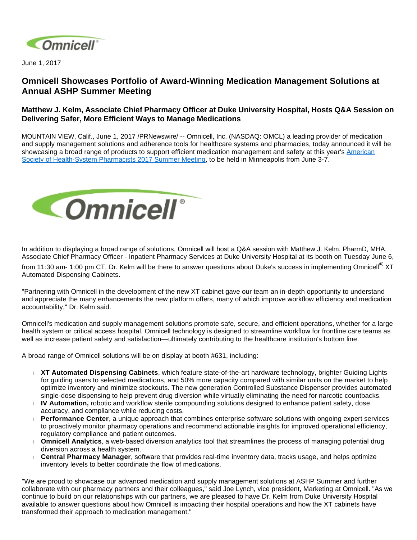

June 1, 2017

## **Omnicell Showcases Portfolio of Award-Winning Medication Management Solutions at Annual ASHP Summer Meeting**

## **Matthew J. Kelm, Associate Chief Pharmacy Officer at Duke University Hospital, Hosts Q&A Session on Delivering Safer, More Efficient Ways to Manage Medications**

MOUNTAIN VIEW, Calif., June 1, 2017 /PRNewswire/ -- Omnicell, Inc. (NASDAQ: OMCL) a leading provider of medication and supply management solutions and adherence tools for healthcare systems and pharmacies, today announced it will be showcasing a broad range of products to support efficient medication management and safety at this year's American [Society of Health-System Pharmacists 2017 Summer Meeting,](http://www.ashpmedia.org/sm17/) to be held in Minneapolis from June 3-7.



In addition to displaying a broad range of solutions, Omnicell will host a Q&A session with Matthew J. Kelm, PharmD, MHA, Associate Chief Pharmacy Officer - Inpatient Pharmacy Services at Duke University Hospital at its booth on Tuesday June 6,

from 11:30 am- 1:00 pm CT. Dr. Kelm will be there to answer questions about Duke's success in implementing Omnicell<sup>®</sup> XT Automated Dispensing Cabinets.

"Partnering with Omnicell in the development of the new XT cabinet gave our team an in-depth opportunity to understand and appreciate the many enhancements the new platform offers, many of which improve workflow efficiency and medication accountability," Dr. Kelm said.

Omnicell's medication and supply management solutions promote safe, secure, and efficient operations, whether for a large health system or critical access hospital. Omnicell technology is designed to streamline workflow for frontline care teams as well as increase patient safety and satisfaction—ultimately contributing to the healthcare institution's bottom line.

A broad range of Omnicell solutions will be on display at booth #631, including:

- **XT Automated Dispensing Cabinets**, which feature state-of-the-art hardware technology, brighter Guiding Lights for guiding users to selected medications, and 50% more capacity compared with similar units on the market to help optimize inventory and minimize stockouts. The new generation Controlled Substance Dispenser provides automated single-dose dispensing to help prevent drug diversion while virtually eliminating the need for narcotic countbacks.
- **IV Automation,** robotic and workflow sterile compounding solutions designed to enhance patient safety, dose accuracy, and compliance while reducing costs.
- **Performance Center**, a unique approach that combines enterprise software solutions with ongoing expert services to proactively monitor pharmacy operations and recommend actionable insights for improved operational efficiency, regulatory compliance and patient outcomes.
- **Omnicell Analytics**, a web-based diversion analytics tool that streamlines the process of managing potential drug diversion across a health system.
- **Central Pharmacy Manager**, software that provides real-time inventory data, tracks usage, and helps optimize inventory levels to better coordinate the flow of medications.

"We are proud to showcase our advanced medication and supply management solutions at ASHP Summer and further collaborate with our pharmacy partners and their colleagues," said Joe Lynch, vice president, Marketing at Omnicell. "As we continue to build on our relationships with our partners, we are pleased to have Dr. Kelm from Duke University Hospital available to answer questions about how Omnicell is impacting their hospital operations and how the XT cabinets have transformed their approach to medication management."